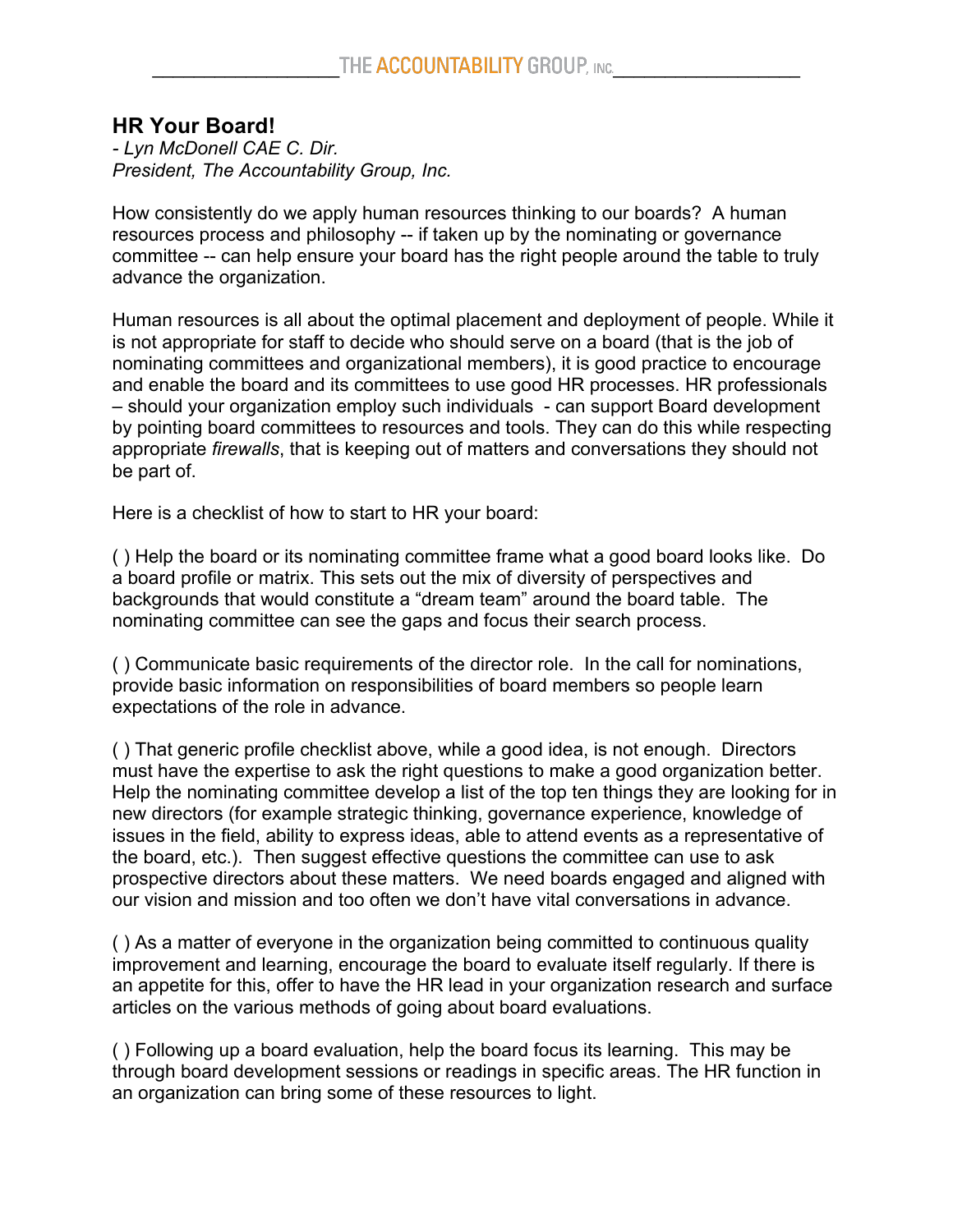## **HR Your Board!**

*- Lyn McDonell CAE C. Dir. President, The Accountability Group, Inc.*

How consistently do we apply human resources thinking to our boards? A human resources process and philosophy -- if taken up by the nominating or governance committee -- can help ensure your board has the right people around the table to truly advance the organization.

Human resources is all about the optimal placement and deployment of people. While it is not appropriate for staff to decide who should serve on a board (that is the job of nominating committees and organizational members), it is good practice to encourage and enable the board and its committees to use good HR processes. HR professionals – should your organization employ such individuals - can support Board development by pointing board committees to resources and tools. They can do this while respecting appropriate *firewalls*, that is keeping out of matters and conversations they should not be part of.

Here is a checklist of how to start to HR your board:

( ) Help the board or its nominating committee frame what a good board looks like. Do a board profile or matrix. This sets out the mix of diversity of perspectives and backgrounds that would constitute a "dream team" around the board table. The nominating committee can see the gaps and focus their search process.

( ) Communicate basic requirements of the director role. In the call for nominations, provide basic information on responsibilities of board members so people learn expectations of the role in advance.

( ) That generic profile checklist above, while a good idea, is not enough. Directors must have the expertise to ask the right questions to make a good organization better. Help the nominating committee develop a list of the top ten things they are looking for in new directors (for example strategic thinking, governance experience, knowledge of issues in the field, ability to express ideas, able to attend events as a representative of the board, etc.). Then suggest effective questions the committee can use to ask prospective directors about these matters. We need boards engaged and aligned with our vision and mission and too often we don't have vital conversations in advance.

( ) As a matter of everyone in the organization being committed to continuous quality improvement and learning, encourage the board to evaluate itself regularly. If there is an appetite for this, offer to have the HR lead in your organization research and surface articles on the various methods of going about board evaluations.

( ) Following up a board evaluation, help the board focus its learning. This may be through board development sessions or readings in specific areas. The HR function in an organization can bring some of these resources to light.